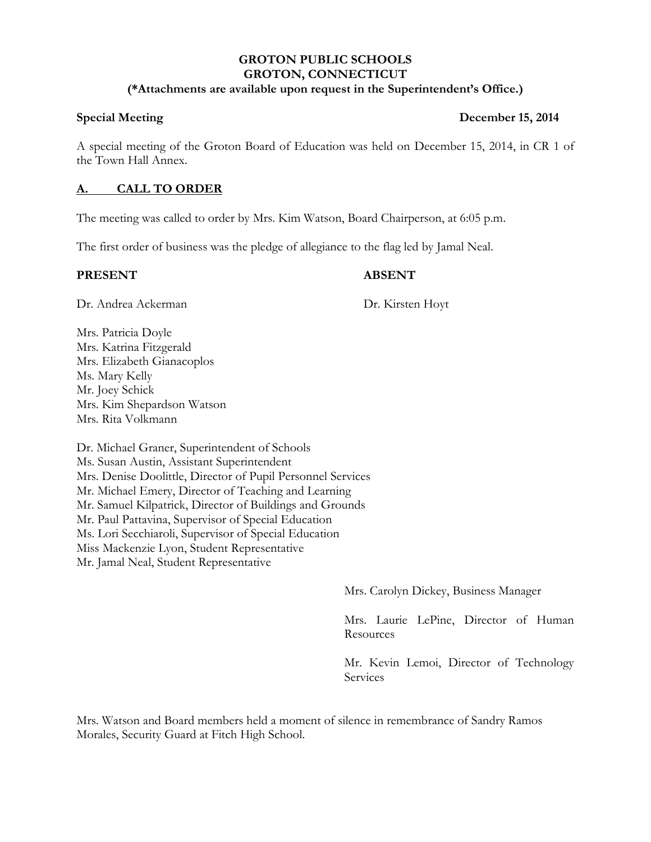## **GROTON PUBLIC SCHOOLS GROTON, CONNECTICUT (\*Attachments are available upon request in the Superintendent's Office.)**

# A special meeting of the Groton Board of Education was held on December 15, 2014, in CR 1 of the Town Hall Annex.

# **A. CALL TO ORDER**

The meeting was called to order by Mrs. Kim Watson, Board Chairperson, at 6:05 p.m.

The first order of business was the pledge of allegiance to the flag led by Jamal Neal.

# **PRESENT ABSENT**

Dr. Andrea Ackerman Dr. Kirsten Hoyt

Mrs. Patricia Doyle Mrs. Katrina Fitzgerald Mrs. Elizabeth Gianacoplos Ms. Mary Kelly Mr. Joey Schick Mrs. Kim Shepardson Watson Mrs. Rita Volkmann

Dr. Michael Graner, Superintendent of Schools Ms. Susan Austin, Assistant Superintendent Mrs. Denise Doolittle, Director of Pupil Personnel Services Mr. Michael Emery, Director of Teaching and Learning Mr. Samuel Kilpatrick, Director of Buildings and Grounds Mr. Paul Pattavina, Supervisor of Special Education Ms. Lori Secchiaroli, Supervisor of Special Education Miss Mackenzie Lyon, Student Representative Mr. Jamal Neal, Student Representative

Mrs. Carolyn Dickey, Business Manager

Mrs. Laurie LePine, Director of Human Resources

Mr. Kevin Lemoi, Director of Technology Services

Mrs. Watson and Board members held a moment of silence in remembrance of Sandry Ramos Morales, Security Guard at Fitch High School.

# **Special Meeting**  December 15, 2014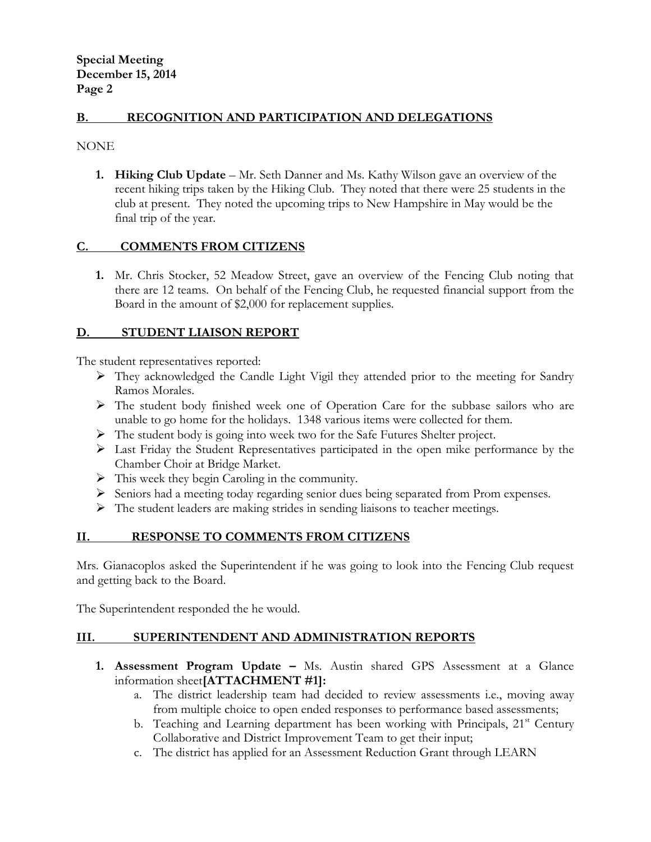# **B. RECOGNITION AND PARTICIPATION AND DELEGATIONS**

NONE

**1. Hiking Club Update** – Mr. Seth Danner and Ms. Kathy Wilson gave an overview of the recent hiking trips taken by the Hiking Club. They noted that there were 25 students in the club at present. They noted the upcoming trips to New Hampshire in May would be the final trip of the year.

## **C. COMMENTS FROM CITIZENS**

**1.** Mr. Chris Stocker, 52 Meadow Street, gave an overview of the Fencing Club noting that there are 12 teams. On behalf of the Fencing Club, he requested financial support from the Board in the amount of \$2,000 for replacement supplies.

## **D. STUDENT LIAISON REPORT**

The student representatives reported:

- They acknowledged the Candle Light Vigil they attended prior to the meeting for Sandry Ramos Morales.
- The student body finished week one of Operation Care for the subbase sailors who are unable to go home for the holidays. 1348 various items were collected for them.
- The student body is going into week two for the Safe Futures Shelter project.
- Last Friday the Student Representatives participated in the open mike performance by the Chamber Choir at Bridge Market.
- $\triangleright$  This week they begin Caroling in the community.
- $\triangleright$  Seniors had a meeting today regarding senior dues being separated from Prom expenses.
- The student leaders are making strides in sending liaisons to teacher meetings.

# **II. RESPONSE TO COMMENTS FROM CITIZENS**

Mrs. Gianacoplos asked the Superintendent if he was going to look into the Fencing Club request and getting back to the Board.

The Superintendent responded the he would.

# **III. SUPERINTENDENT AND ADMINISTRATION REPORTS**

- **1. Assessment Program Update -** Ms. Austin shared GPS Assessment at a Glance information sheet**[ATTACHMENT #1]:**
	- a. The district leadership team had decided to review assessments i.e., moving away from multiple choice to open ended responses to performance based assessments;
	- b. Teaching and Learning department has been working with Principals,  $21<sup>st</sup>$  Century Collaborative and District Improvement Team to get their input;
	- c. The district has applied for an Assessment Reduction Grant through LEARN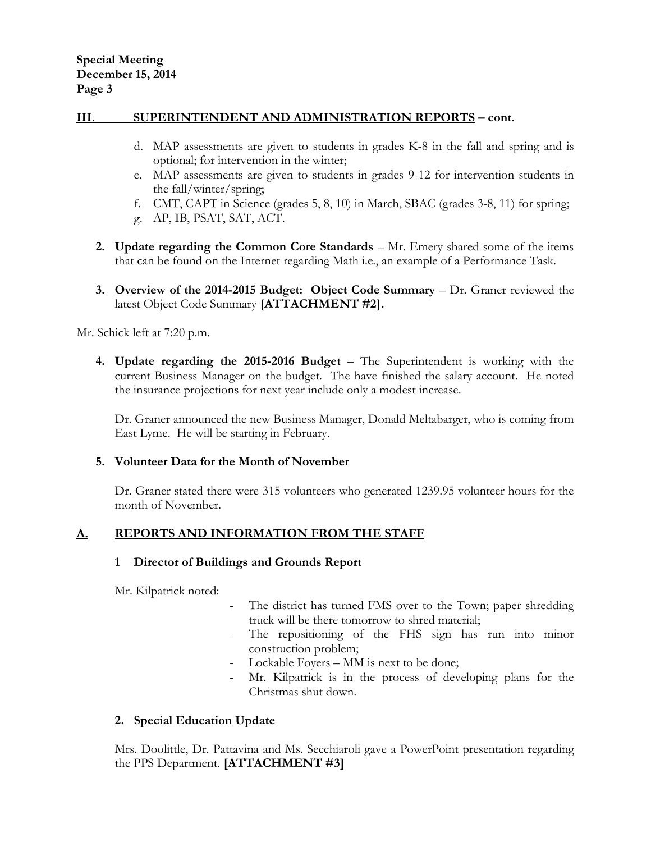## **III. SUPERINTENDENT AND ADMINISTRATION REPORTS – cont.**

- d. MAP assessments are given to students in grades K-8 in the fall and spring and is optional; for intervention in the winter;
- e. MAP assessments are given to students in grades 9-12 for intervention students in the fall/winter/spring;
- f. CMT, CAPT in Science (grades 5, 8, 10) in March, SBAC (grades 3-8, 11) for spring;
- g. AP, IB, PSAT, SAT, ACT.
- **2. Update regarding the Common Core Standards** Mr. Emery shared some of the items that can be found on the Internet regarding Math i.e., an example of a Performance Task.
- **3. Overview of the 2014-2015 Budget: Object Code Summary** Dr. Graner reviewed the latest Object Code Summary **[ATTACHMENT #2].**

Mr. Schick left at 7:20 p.m.

**4. Update regarding the 2015-2016 Budget** – The Superintendent is working with the current Business Manager on the budget. The have finished the salary account. He noted the insurance projections for next year include only a modest increase.

Dr. Graner announced the new Business Manager, Donald Meltabarger, who is coming from East Lyme. He will be starting in February.

## **5. Volunteer Data for the Month of November**

Dr. Graner stated there were 315 volunteers who generated 1239.95 volunteer hours for the month of November.

## **A. REPORTS AND INFORMATION FROM THE STAFF**

## **1 Director of Buildings and Grounds Report**

Mr. Kilpatrick noted:

- The district has turned FMS over to the Town; paper shredding truck will be there tomorrow to shred material;
- The repositioning of the FHS sign has run into minor construction problem;
- Lockable Foyers MM is next to be done;
- Mr. Kilpatrick is in the process of developing plans for the Christmas shut down.

## **2. Special Education Update**

Mrs. Doolittle, Dr. Pattavina and Ms. Secchiaroli gave a PowerPoint presentation regarding the PPS Department. **[ATTACHMENT #3]**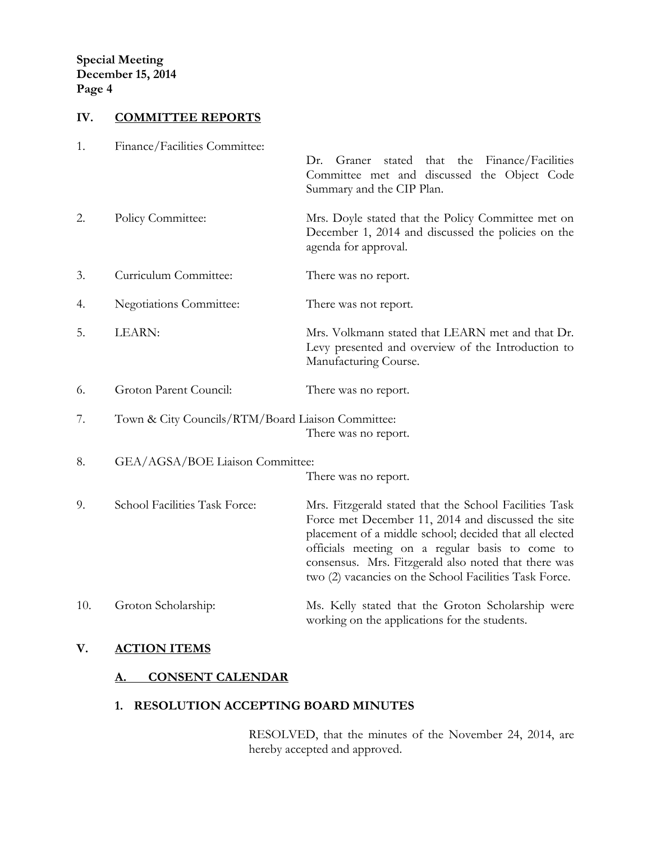# **IV. COMMITTEE REPORTS**

| 1.  | Finance/Facilities Committee:                     | stated that the Finance/Facilities<br>Dr.<br>Graner<br>Committee met and discussed the Object Code<br>Summary and the CIP Plan.                                                                                                                                                                                                             |
|-----|---------------------------------------------------|---------------------------------------------------------------------------------------------------------------------------------------------------------------------------------------------------------------------------------------------------------------------------------------------------------------------------------------------|
| 2.  | Policy Committee:                                 | Mrs. Doyle stated that the Policy Committee met on<br>December 1, 2014 and discussed the policies on the<br>agenda for approval.                                                                                                                                                                                                            |
| 3.  | Curriculum Committee:                             | There was no report.                                                                                                                                                                                                                                                                                                                        |
| 4.  | <b>Negotiations Committee:</b>                    | There was not report.                                                                                                                                                                                                                                                                                                                       |
| 5.  | LEARN:                                            | Mrs. Volkmann stated that LEARN met and that Dr.<br>Levy presented and overview of the Introduction to<br>Manufacturing Course.                                                                                                                                                                                                             |
| 6.  | Groton Parent Council:                            | There was no report.                                                                                                                                                                                                                                                                                                                        |
| 7.  | Town & City Councils/RTM/Board Liaison Committee: | There was no report.                                                                                                                                                                                                                                                                                                                        |
| 8.  | GEA/AGSA/BOE Liaison Committee:                   | There was no report.                                                                                                                                                                                                                                                                                                                        |
| 9.  | School Facilities Task Force:                     | Mrs. Fitzgerald stated that the School Facilities Task<br>Force met December 11, 2014 and discussed the site<br>placement of a middle school; decided that all elected<br>officials meeting on a regular basis to come to<br>consensus. Mrs. Fitzgerald also noted that there was<br>two (2) vacancies on the School Facilities Task Force. |
| 10. | Groton Scholarship:                               | Ms. Kelly stated that the Groton Scholarship were<br>working on the applications for the students.                                                                                                                                                                                                                                          |

# **V. ACTION ITEMS**

# **A. CONSENT CALENDAR**

# **1. RESOLUTION ACCEPTING BOARD MINUTES**

RESOLVED, that the minutes of the November 24, 2014, are hereby accepted and approved.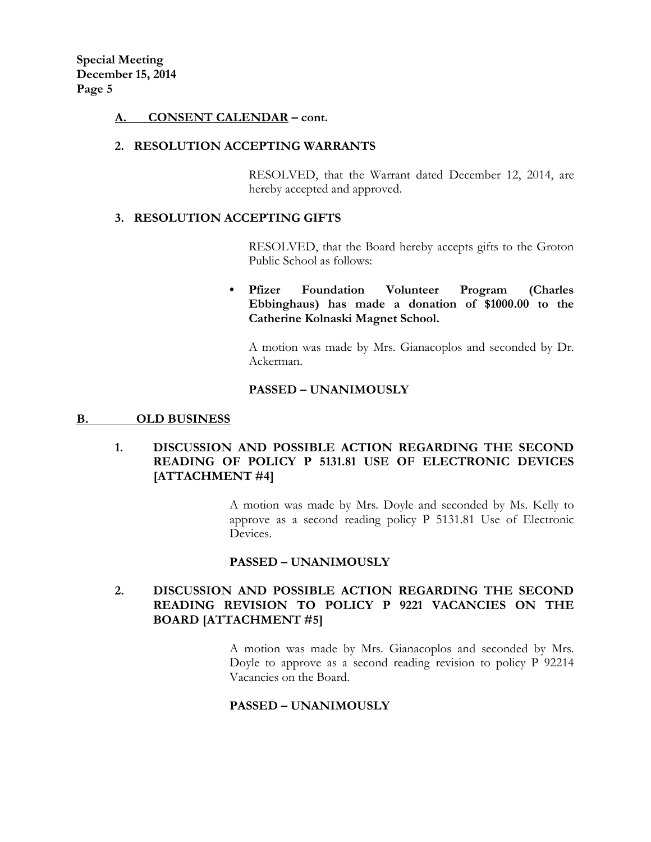**Special Meeting December 15, 2014 Page 5**

## **A. CONSENT CALENDAR – cont.**

## **2. RESOLUTION ACCEPTING WARRANTS**

RESOLVED, that the Warrant dated December 12, 2014, are hereby accepted and approved.

## **3. RESOLUTION ACCEPTING GIFTS**

RESOLVED, that the Board hereby accepts gifts to the Groton Public School as follows:

# **• Pfizer Foundation Volunteer Program (Charles Ebbinghaus) has made a donation of \$1000.00 to the Catherine Kolnaski Magnet School.**

A motion was made by Mrs. Gianacoplos and seconded by Dr. Ackerman.

## **PASSED – UNANIMOUSLY**

## **B. OLD BUSINESS**

# **1. DISCUSSION AND POSSIBLE ACTION REGARDING THE SECOND READING OF POLICY P 5131.81 USE OF ELECTRONIC DEVICES [ATTACHMENT #4]**

A motion was made by Mrs. Doyle and seconded by Ms. Kelly to approve as a second reading policy P 5131.81 Use of Electronic Devices.

## **PASSED – UNANIMOUSLY**

# **2. DISCUSSION AND POSSIBLE ACTION REGARDING THE SECOND READING REVISION TO POLICY P 9221 VACANCIES ON THE BOARD [ATTACHMENT #5]**

A motion was made by Mrs. Gianacoplos and seconded by Mrs. Doyle to approve as a second reading revision to policy P 92214 Vacancies on the Board.

## **PASSED – UNANIMOUSLY**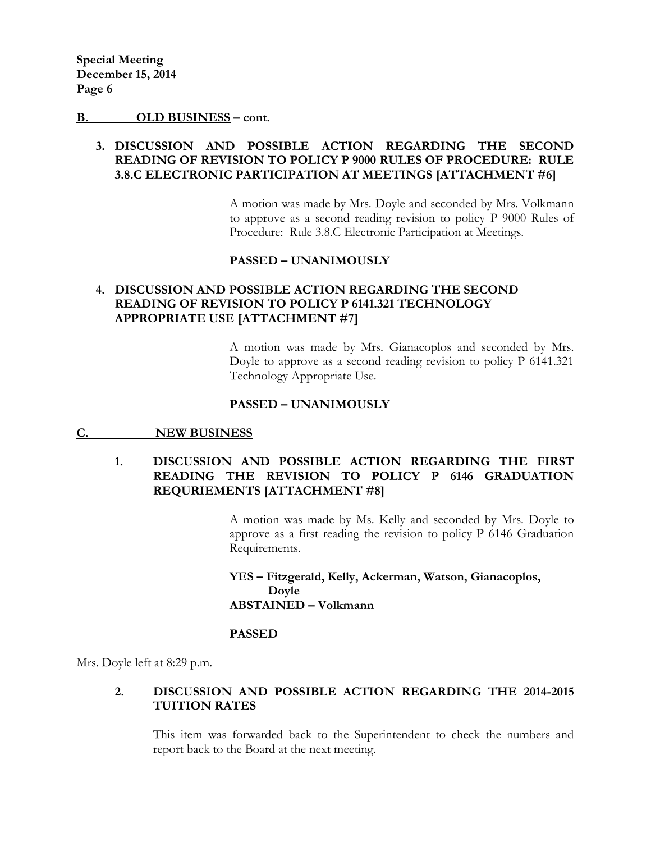### **B. OLD BUSINESS – cont.**

# **3. DISCUSSION AND POSSIBLE ACTION REGARDING THE SECOND READING OF REVISION TO POLICY P 9000 RULES OF PROCEDURE: RULE 3.8.C ELECTRONIC PARTICIPATION AT MEETINGS [ATTACHMENT #6]**

A motion was made by Mrs. Doyle and seconded by Mrs. Volkmann to approve as a second reading revision to policy P 9000 Rules of Procedure: Rule 3.8.C Electronic Participation at Meetings.

## **PASSED – UNANIMOUSLY**

# **4. DISCUSSION AND POSSIBLE ACTION REGARDING THE SECOND READING OF REVISION TO POLICY P 6141.321 TECHNOLOGY APPROPRIATE USE [ATTACHMENT #7]**

A motion was made by Mrs. Gianacoplos and seconded by Mrs. Doyle to approve as a second reading revision to policy P 6141.321 Technology Appropriate Use.

### **PASSED – UNANIMOUSLY**

## **C. NEW BUSINESS**

# **1. DISCUSSION AND POSSIBLE ACTION REGARDING THE FIRST READING THE REVISION TO POLICY P 6146 GRADUATION REQURIEMENTS [ATTACHMENT #8]**

A motion was made by Ms. Kelly and seconded by Mrs. Doyle to approve as a first reading the revision to policy P 6146 Graduation Requirements.

**YES – Fitzgerald, Kelly, Ackerman, Watson, Gianacoplos, Doyle ABSTAINED – Volkmann**

## **PASSED**

Mrs. Doyle left at 8:29 p.m.

## **2. DISCUSSION AND POSSIBLE ACTION REGARDING THE 2014-2015 TUITION RATES**

This item was forwarded back to the Superintendent to check the numbers and report back to the Board at the next meeting.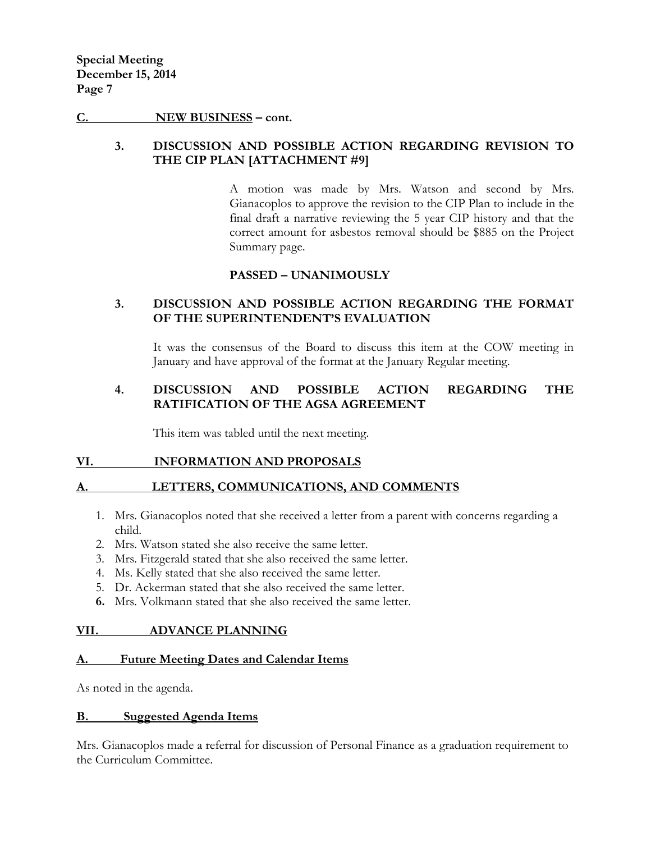## **C. NEW BUSINESS – cont.**

# **3. DISCUSSION AND POSSIBLE ACTION REGARDING REVISION TO THE CIP PLAN [ATTACHMENT #9]**

A motion was made by Mrs. Watson and second by Mrs. Gianacoplos to approve the revision to the CIP Plan to include in the final draft a narrative reviewing the 5 year CIP history and that the correct amount for asbestos removal should be \$885 on the Project Summary page.

# **PASSED – UNANIMOUSLY**

# **3. DISCUSSION AND POSSIBLE ACTION REGARDING THE FORMAT OF THE SUPERINTENDENT'S EVALUATION**

It was the consensus of the Board to discuss this item at the COW meeting in January and have approval of the format at the January Regular meeting.

# **4. DISCUSSION AND POSSIBLE ACTION REGARDING THE RATIFICATION OF THE AGSA AGREEMENT**

This item was tabled until the next meeting.

## **VI. INFORMATION AND PROPOSALS**

## **A. LETTERS, COMMUNICATIONS, AND COMMENTS**

- 1. Mrs. Gianacoplos noted that she received a letter from a parent with concerns regarding a child.
- 2. Mrs. Watson stated she also receive the same letter.
- 3. Mrs. Fitzgerald stated that she also received the same letter.
- 4. Ms. Kelly stated that she also received the same letter.
- 5. Dr. Ackerman stated that she also received the same letter.
- **6.** Mrs. Volkmann stated that she also received the same letter.

## **VII. ADVANCE PLANNING**

## **A. Future Meeting Dates and Calendar Items**

As noted in the agenda.

## **B. Suggested Agenda Items**

Mrs. Gianacoplos made a referral for discussion of Personal Finance as a graduation requirement to the Curriculum Committee.